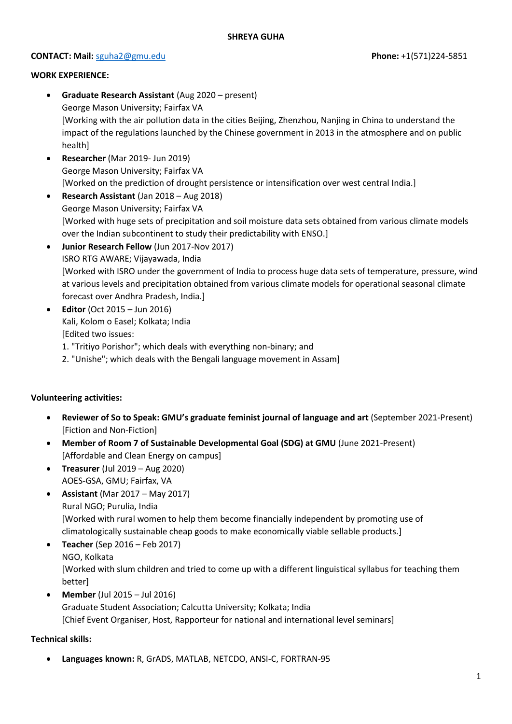#### **CONTACT: Mail:** [sguha2@gmu.edu](mailto:sguha2@gmu.edu) **Phone:** +1(571)224-5851

#### **WORK EXPERIENCE:**

- **Graduate Research Assistant** (Aug 2020 present) George Mason University; Fairfax VA [Working with the air pollution data in the cities Beijing, Zhenzhou, Nanjing in China to understand the impact of the regulations launched by the Chinese government in 2013 in the atmosphere and on public health]
- **Researcher** (Mar 2019- Jun 2019) George Mason University; Fairfax VA [Worked on the prediction of drought persistence or intensification over west central India.]
- **Research Assistant** (Jan 2018 Aug 2018) George Mason University; Fairfax VA [Worked with huge sets of precipitation and soil moisture data sets obtained from various climate models over the Indian subcontinent to study their predictability with ENSO.]
- **Junior Research Fellow** (Jun 2017-Nov 2017) ISRO RTG AWARE; Vijayawada, India [Worked with ISRO under the government of India to process huge data sets of temperature, pressure, wind at various levels and precipitation obtained from various climate models for operational seasonal climate forecast over Andhra Pradesh, India.]
- **Editor** (Oct 2015 Jun 2016) Kali, Kolom o Easel; Kolkata; India [Edited two issues:
	- 1. "Tritiyo Porishor"; which deals with everything non-binary; and
	- 2. "Unishe"; which deals with the Bengali language movement in Assam]

#### **Volunteering activities:**

- **Reviewer of So to Speak: GMU's graduate feminist journal of language and art** (September 2021-Present) [Fiction and Non-Fiction]
- **Member of Room 7 of Sustainable Developmental Goal (SDG) at GMU** (June 2021-Present) [Affordable and Clean Energy on campus]
- **Treasurer** (Jul 2019 Aug 2020) AOES-GSA, GMU; Fairfax, VA
- **Assistant** (Mar 2017 May 2017) Rural NGO; Purulia, India [Worked with rural women to help them become financially independent by promoting use of climatologically sustainable cheap goods to make economically viable sellable products.]
- **Teacher** (Sep 2016 Feb 2017) NGO, Kolkata [Worked with slum children and tried to come up with a different linguistical syllabus for teaching them better]
- **Member** (Jul 2015 Jul 2016) Graduate Student Association; Calcutta University; Kolkata; India [Chief Event Organiser, Host, Rapporteur for national and international level seminars]

#### **Technical skills:**

• **Languages known:** R, GrADS, MATLAB, NETCDO, ANSI-C, FORTRAN-95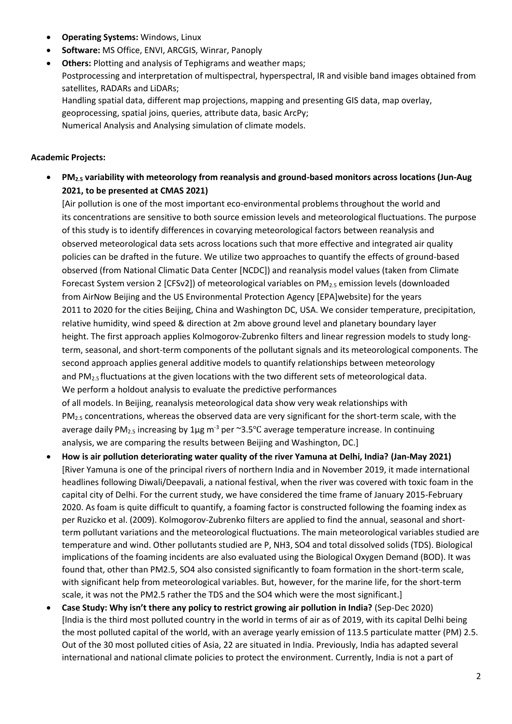- **Operating Systems:** Windows, Linux
- **Software:** MS Office, ENVI, ARCGIS, Winrar, Panoply
- **Others:** Plotting and analysis of Tephigrams and weather maps; Postprocessing and interpretation of multispectral, hyperspectral, IR and visible band images obtained from satellites, RADARs and LiDARs; Handling spatial data, different map projections, mapping and presenting GIS data, map overlay, geoprocessing, spatial joins, queries, attribute data, basic ArcPy; Numerical Analysis and Analysing simulation of climate models.

#### **Academic Projects:**

• **PM2.5 variability with meteorology from reanalysis and ground-based monitors across locations (Jun-Aug 2021, to be presented at CMAS 2021)**

[Air pollution is one of the most important eco-environmental problems throughout the world and its concentrations are sensitive to both source emission levels and meteorological fluctuations. The purpose of this study is to identify differences in covarying meteorological factors between reanalysis and observed meteorological data sets across locations such that more effective and integrated air quality policies can be drafted in the future. We utilize two approaches to quantify the effects of ground-based observed (from National Climatic Data Center [NCDC]) and reanalysis model values (taken from Climate Forecast System version 2 [CFSv2]) of meteorological variables on PM<sub>2.5</sub> emission levels (downloaded from AirNow Beijing and the US Environmental Protection Agency [EPA]website) for the years 2011 to 2020 for the cities Beijing, China and Washington DC, USA. We consider temperature, precipitation, relative humidity, wind speed & direction at 2m above ground level and planetary boundary layer height. The first approach applies Kolmogorov-Zubrenko filters and linear regression models to study longterm, seasonal, and short-term components of the pollutant signals and its meteorological components. The second approach applies general additive models to quantify relationships between meteorology and PM2.5 fluctuations at the given locations with the two different sets of meteorological data. We perform a holdout analysis to evaluate the predictive performances of all models. In Beijing, reanalysis meteorological data show very weak relationships with PM2.5 concentrations, whereas the observed data are very significant for the short-term scale, with the average daily  $PM_{2.5}$  increasing by 1µg m<sup>-3</sup> per ~3.5°C average temperature increase. In continuing analysis, we are comparing the results between Beijing and Washington, DC.]

- **How is air pollution deteriorating water quality of the river Yamuna at Delhi, India? (Jan-May 2021)** [River Yamuna is one of the principal rivers of northern India and in November 2019, it made international headlines following Diwali/Deepavali, a national festival, when the river was covered with toxic foam in the capital city of Delhi. For the current study, we have considered the time frame of January 2015-February 2020. As foam is quite difficult to quantify, a foaming factor is constructed following the foaming index as per Ruzicko et al. (2009). Kolmogorov-Zubrenko filters are applied to find the annual, seasonal and shortterm pollutant variations and the meteorological fluctuations. The main meteorological variables studied are temperature and wind. Other pollutants studied are P, NH3, SO4 and total dissolved solids (TDS). Biological implications of the foaming incidents are also evaluated using the Biological Oxygen Demand (BOD). It was found that, other than PM2.5, SO4 also consisted significantly to foam formation in the short-term scale, with significant help from meteorological variables. But, however, for the marine life, for the short-term scale, it was not the PM2.5 rather the TDS and the SO4 which were the most significant.]
- **Case Study: Why isn't there any policy to restrict growing air pollution in India?** (Sep-Dec 2020) [India is the third most polluted country in the world in terms of air as of 2019, with its capital Delhi being the most polluted capital of the world, with an average yearly emission of 113.5 particulate matter (PM) 2.5. Out of the 30 most polluted cities of Asia, 22 are situated in India. Previously, India has adapted several international and national climate policies to protect the environment. Currently, India is not a part of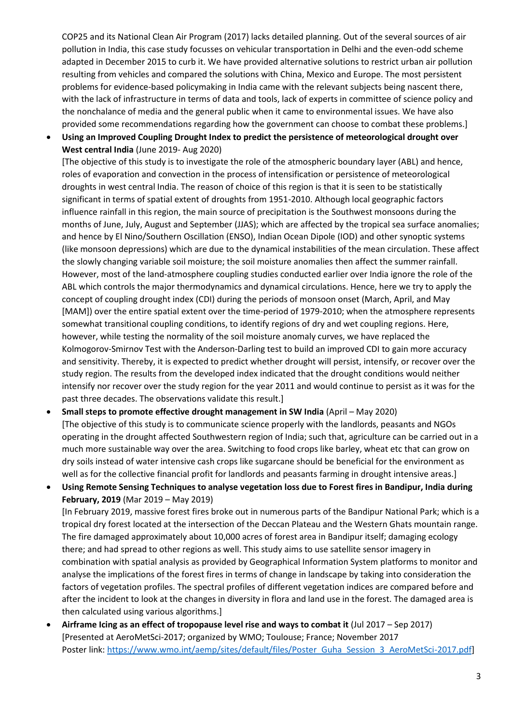COP25 and its National Clean Air Program (2017) lacks detailed planning. Out of the several sources of air pollution in India, this case study focusses on vehicular transportation in Delhi and the even-odd scheme adapted in December 2015 to curb it. We have provided alternative solutions to restrict urban air pollution resulting from vehicles and compared the solutions with China, Mexico and Europe. The most persistent problems for evidence-based policymaking in India came with the relevant subjects being nascent there, with the lack of infrastructure in terms of data and tools, lack of experts in committee of science policy and the nonchalance of media and the general public when it came to environmental issues. We have also provided some recommendations regarding how the government can choose to combat these problems.]

• **Using an Improved Coupling Drought Index to predict the persistence of meteorological drought over West central India** (June 2019- Aug 2020)

[The objective of this study is to investigate the role of the atmospheric boundary layer (ABL) and hence, roles of evaporation and convection in the process of intensification or persistence of meteorological droughts in west central India. The reason of choice of this region is that it is seen to be statistically significant in terms of spatial extent of droughts from 1951-2010. Although local geographic factors influence rainfall in this region, the main source of precipitation is the Southwest monsoons during the months of June, July, August and September (JJAS); which are affected by the tropical sea surface anomalies; and hence by El Nino/Southern Oscillation (ENSO), Indian Ocean Dipole (IOD) and other synoptic systems (like monsoon depressions) which are due to the dynamical instabilities of the mean circulation. These affect the slowly changing variable soil moisture; the soil moisture anomalies then affect the summer rainfall. However, most of the land-atmosphere coupling studies conducted earlier over India ignore the role of the ABL which controls the major thermodynamics and dynamical circulations. Hence, here we try to apply the concept of coupling drought index (CDI) during the periods of monsoon onset (March, April, and May [MAM]) over the entire spatial extent over the time-period of 1979-2010; when the atmosphere represents somewhat transitional coupling conditions, to identify regions of dry and wet coupling regions. Here, however, while testing the normality of the soil moisture anomaly curves, we have replaced the Kolmogorov-Smirnov Test with the Anderson-Darling test to build an improved CDI to gain more accuracy and sensitivity. Thereby, it is expected to predict whether drought will persist, intensify, or recover over the study region. The results from the developed index indicated that the drought conditions would neither intensify nor recover over the study region for the year 2011 and would continue to persist as it was for the past three decades. The observations validate this result.]

- **Small steps to promote effective drought management in SW India** (April May 2020) [The objective of this study is to communicate science properly with the landlords, peasants and NGOs operating in the drought affected Southwestern region of India; such that, agriculture can be carried out in a much more sustainable way over the area. Switching to food crops like barley, wheat etc that can grow on dry soils instead of water intensive cash crops like sugarcane should be beneficial for the environment as well as for the collective financial profit for landlords and peasants farming in drought intensive areas.]
- **Using Remote Sensing Techniques to analyse vegetation loss due to Forest fires in Bandipur, India during February, 2019** (Mar 2019 – May 2019)

[In February 2019, massive forest fires broke out in numerous parts of the Bandipur National Park; which is a tropical dry forest located at the intersection of the Deccan Plateau and the Western Ghats mountain range. The fire damaged approximately about 10,000 acres of forest area in Bandipur itself; damaging ecology there; and had spread to other regions as well. This study aims to use satellite sensor imagery in combination with spatial analysis as provided by Geographical Information System platforms to monitor and analyse the implications of the forest fires in terms of change in landscape by taking into consideration the factors of vegetation profiles. The spectral profiles of different vegetation indices are compared before and after the incident to look at the changes in diversity in flora and land use in the forest. The damaged area is then calculated using various algorithms.]

• **Airframe Icing as an effect of tropopause level rise and ways to combat it** (Jul 2017 – Sep 2017) [Presented at AeroMetSci-2017; organized by WMO; Toulouse; France; November 2017 Poster link[: https://www.wmo.int/aemp/sites/default/files/Poster\\_Guha\\_Session\\_3\\_AeroMetSci-2017.pdf\]](https://www.wmo.int/aemp/sites/default/files/Poster_Guha_Session_3_AeroMetSci-2017.pdf)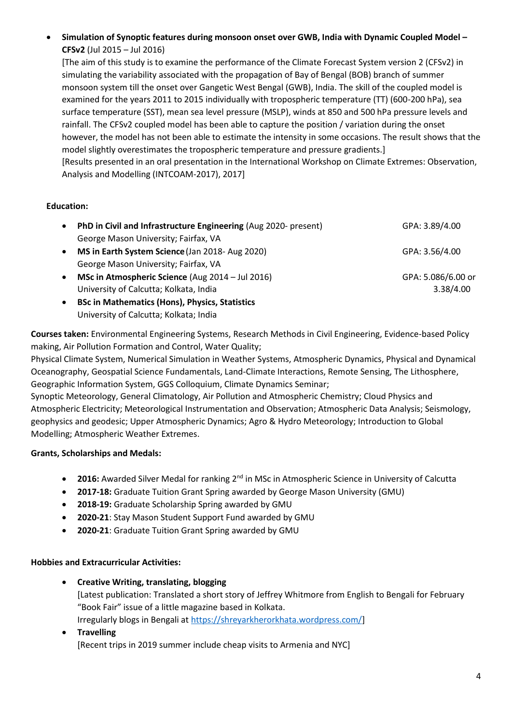• **Simulation of Synoptic features during monsoon onset over GWB, India with Dynamic Coupled Model – CFSv2** (Jul 2015 – Jul 2016)

[The aim of this study is to examine the performance of the Climate Forecast System version 2 (CFSv2) in simulating the variability associated with the propagation of Bay of Bengal (BOB) branch of summer monsoon system till the onset over Gangetic West Bengal (GWB), India. The skill of the coupled model is examined for the years 2011 to 2015 individually with tropospheric temperature (TT) (600-200 hPa), sea surface temperature (SST), mean sea level pressure (MSLP), winds at 850 and 500 hPa pressure levels and rainfall. The CFSv2 coupled model has been able to capture the position / variation during the onset however, the model has not been able to estimate the intensity in some occasions. The result shows that the model slightly overestimates the tropospheric temperature and pressure gradients.] [Results presented in an oral presentation in the International Workshop on Climate Extremes: Observation, Analysis and Modelling (INTCOAM-2017), 2017]

# **Education:**

|  | PhD in Civil and Infrastructure Engineering (Aug 2020- present) | GPA: 3.89/4.00     |
|--|-----------------------------------------------------------------|--------------------|
|  | George Mason University; Fairfax, VA                            |                    |
|  | MS in Earth System Science (Jan 2018- Aug 2020)                 | GPA: 3.56/4.00     |
|  | George Mason University; Fairfax, VA                            |                    |
|  | MSc in Atmospheric Science (Aug 2014 – Jul 2016)                | GPA: 5.086/6.00 or |
|  | University of Calcutta; Kolkata, India                          | 3.38/4.00          |
|  | <b>BSc in Mathematics (Hons), Physics, Statistics</b>           |                    |
|  |                                                                 |                    |

University of Calcutta; Kolkata; India

**Courses taken:** Environmental Engineering Systems, Research Methods in Civil Engineering, Evidence-based Policy making, Air Pollution Formation and Control, Water Quality;

Physical Climate System, Numerical Simulation in Weather Systems, Atmospheric Dynamics, Physical and Dynamical Oceanography, Geospatial Science Fundamentals, Land-Climate Interactions, Remote Sensing, The Lithosphere, Geographic Information System, GGS Colloquium, Climate Dynamics Seminar;

Synoptic Meteorology, General Climatology, Air Pollution and Atmospheric Chemistry; Cloud Physics and Atmospheric Electricity; Meteorological Instrumentation and Observation; Atmospheric Data Analysis; Seismology, geophysics and geodesic; Upper Atmospheric Dynamics; Agro & Hydro Meteorology; Introduction to Global Modelling; Atmospheric Weather Extremes.

## **Grants, Scholarships and Medals:**

- **2016:** Awarded Silver Medal for ranking 2<sup>nd</sup> in MSc in Atmospheric Science in University of Calcutta
- **2017-18:** Graduate Tuition Grant Spring awarded by George Mason University (GMU)
- **2018-19:** Graduate Scholarship Spring awarded by GMU
- **2020-21**: Stay Mason Student Support Fund awarded by GMU
- **2020-21**: Graduate Tuition Grant Spring awarded by GMU

## **Hobbies and Extracurricular Activities:**

- **Creative Writing, translating, blogging** [Latest publication: Translated a short story of Jeffrey Whitmore from English to Bengali for February "Book Fair" issue of a little magazine based in Kolkata. Irregularly blogs in Bengali at [https://shreyarkherorkhata.wordpress.com/\]](https://shreyarkherorkhata.wordpress.com/)
- **Travelling** [Recent trips in 2019 summer include cheap visits to Armenia and NYC]